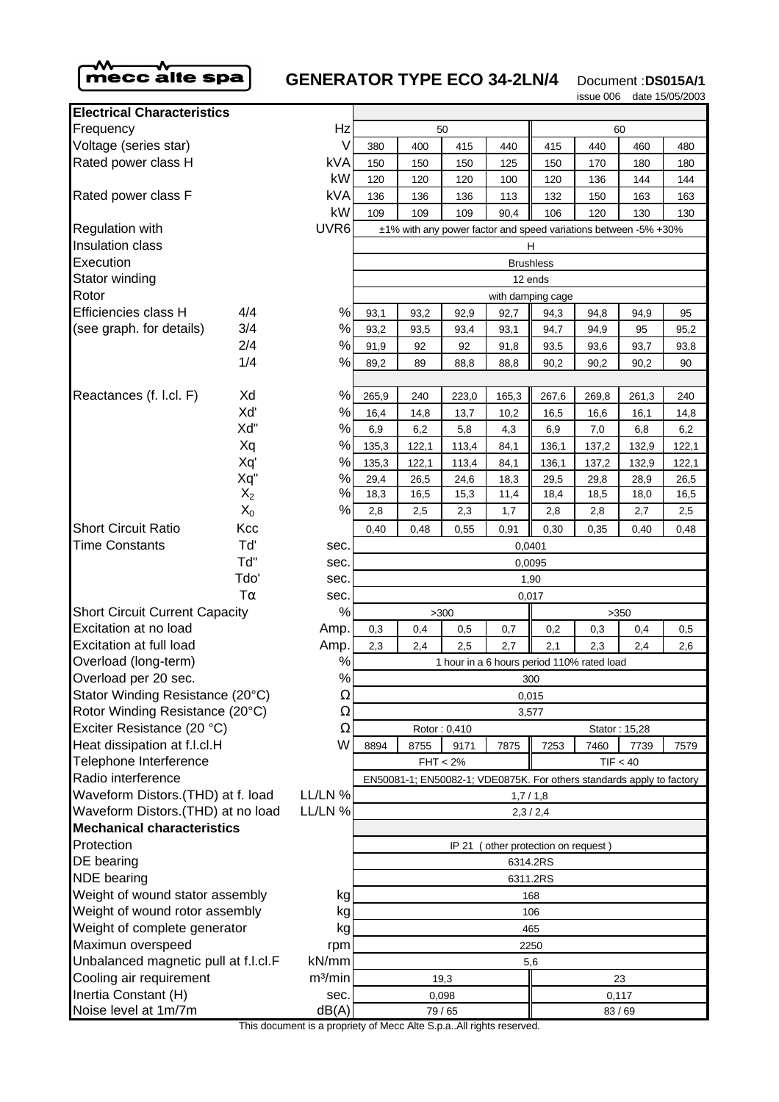

## **GENERATOR TYPE ECO 34-2LN/4** Document :**DS015A/1**

issue 006 date 15/05/2003

| <b>Electrical Characteristics</b>     |                     |                                                        |                           | 50                                  |                  |                         |                   |  |  |  |
|---------------------------------------|---------------------|--------------------------------------------------------|---------------------------|-------------------------------------|------------------|-------------------------|-------------------|--|--|--|
| Frequency                             | Hz                  |                                                        |                           |                                     |                  |                         |                   |  |  |  |
| Voltage (series star)                 | V                   | 380                                                    | 440                       | 4                                   |                  |                         |                   |  |  |  |
| Rated power class H                   |                     | <b>kVA</b>                                             | 150                       | 150                                 | 150              | 125                     | 1                 |  |  |  |
|                                       |                     | kW                                                     | 120                       | 120                                 | 120              | 100                     | 1                 |  |  |  |
| Rated power class F                   |                     | <b>kVA</b>                                             | 136                       | 136                                 | 136              | 113                     | 1<br>$\mathbf{1}$ |  |  |  |
|                                       |                     | kW                                                     | 109<br>109<br>109<br>90,4 |                                     |                  |                         |                   |  |  |  |
| <b>Regulation with</b>                |                     | UVR <sub>6</sub>                                       |                           | ±1% with any power factor and speed |                  |                         |                   |  |  |  |
| Insulation class                      |                     |                                                        | н                         |                                     |                  |                         |                   |  |  |  |
|                                       | Execution           |                                                        |                           |                                     | <b>Brushless</b> |                         |                   |  |  |  |
| Stator winding                        |                     |                                                        |                           |                                     |                  |                         | 12 ends           |  |  |  |
| Rotor                                 |                     |                                                        |                           |                                     |                  | with damping            |                   |  |  |  |
| Efficiencies class H                  | 4/4                 | %                                                      | 93,1                      | 93,2                                | 92,9             | 92,7                    | 9                 |  |  |  |
| (see graph. for details)              | 3/4                 | %                                                      | 93,2                      | 93,5                                | 93,4             | 93,1                    | 9                 |  |  |  |
|                                       | 2/4                 | ℅                                                      | 91,9                      | 92                                  | 92               | 91,8                    | 9.                |  |  |  |
|                                       | 1/4                 | %                                                      | 89,2                      | 89                                  | 88,8             | 88,8                    | 9                 |  |  |  |
|                                       |                     |                                                        |                           |                                     |                  |                         |                   |  |  |  |
| Reactances (f. l.cl. F)               | Xd                  | %                                                      | 265,9                     | 240                                 | 223,0            | 165,3                   | 26                |  |  |  |
|                                       | Xď                  | ℅                                                      | 16,4                      | 14,8                                | 13,7             | 10,2                    | 1                 |  |  |  |
|                                       | Xd"                 | %                                                      | 6,9                       | 6,2                                 | 5,8              | 4,3                     | 6                 |  |  |  |
|                                       | Xq                  | ℅                                                      | 135,3                     | 122,1                               | 113,4            | 84,1                    | 13                |  |  |  |
|                                       | Xq'                 | ℅                                                      | 135,3                     | 122,1                               | 113,4            | 84,1                    | 13                |  |  |  |
|                                       | Xq"<br>$X_2$        | ℅<br>%                                                 | 29,4                      | 26,5                                | 24,6             | 18,3                    | 2!                |  |  |  |
|                                       | $X_0$               | %                                                      | 18,3                      | 16,5                                | 15,3             | 11,4                    | 1<br>2            |  |  |  |
| <b>Short Circuit Ratio</b>            | Kcc                 |                                                        | 2,8                       | 2,5                                 | 2,3              | 1,7                     |                   |  |  |  |
|                                       | Td'                 |                                                        | 0,40                      | 0,48                                | 0,55             | 0,91                    | $\mathbf{0}$      |  |  |  |
| <b>Time Constants</b>                 | Td"                 | sec.                                                   | 0,0401                    |                                     |                  |                         |                   |  |  |  |
|                                       | Tdo'                | sec.                                                   | 0,0095<br>1,90            |                                     |                  |                         |                   |  |  |  |
|                                       | $T\alpha$           | sec.                                                   |                           |                                     |                  |                         |                   |  |  |  |
| <b>Short Circuit Current Capacity</b> | sec.<br>%           | 0,017<br>>300                                          |                           |                                     |                  |                         |                   |  |  |  |
| Excitation at no load                 |                     | Amp.                                                   | 0,3                       | 0,4                                 | 0,5              | 0,7                     | C                 |  |  |  |
| Excitation at full load               | Amp.                |                                                        |                           |                                     |                  | 2                       |                   |  |  |  |
| Overload (long-term)                  | %                   | 2,3<br>2,4<br>2,5<br>2,7<br>1 hour in a 6 hours period |                           |                                     |                  |                         |                   |  |  |  |
| $\%$<br>Overload per 20 sec.          |                     |                                                        | 300                       |                                     |                  |                         |                   |  |  |  |
| Stator Winding Resistance (20°C)      |                     |                                                        | 0,015                     |                                     |                  |                         |                   |  |  |  |
| Rotor Winding Resistance (20°C)       | Ω<br>Ω              | 3,577                                                  |                           |                                     |                  |                         |                   |  |  |  |
| Exciter Resistance (20 °C)            | Ω                   |                                                        |                           | Rotor: 0,410                        |                  |                         |                   |  |  |  |
| Heat dissipation at f.l.cl.H          | W                   | 8894                                                   | 8755                      | 9171                                | 7875             | 72                      |                   |  |  |  |
| Telephone Interference                |                     | FHT < 2%                                               |                           |                                     |                  |                         |                   |  |  |  |
| Radio interference                    |                     | EN50081-1; EN50082-1; VDE0875K. For                    |                           |                                     |                  |                         |                   |  |  |  |
| Waveform Distors.(THD) at f. load     | LL/LN %             | 1,7/1,8                                                |                           |                                     |                  |                         |                   |  |  |  |
| Waveform Distors. (THD) at no load    | LL/LN %             | 2,3/2,4                                                |                           |                                     |                  |                         |                   |  |  |  |
| <b>Mechanical characteristics</b>     |                     |                                                        |                           |                                     |                  |                         |                   |  |  |  |
| Protection                            |                     |                                                        |                           |                                     |                  | IP 21 (other protection |                   |  |  |  |
| DE bearing                            |                     |                                                        |                           | 6314.2RS                            |                  |                         |                   |  |  |  |
| <b>NDE</b> bearing                    |                     |                                                        |                           | 6311.2RS                            |                  |                         |                   |  |  |  |
| Weight of wound stator assembly<br>kg |                     |                                                        | 168                       |                                     |                  |                         |                   |  |  |  |
| Weight of wound rotor assembly<br>kg  |                     |                                                        | 106                       |                                     |                  |                         |                   |  |  |  |
| Weight of complete generator<br>kg    |                     |                                                        | 465                       |                                     |                  |                         |                   |  |  |  |
| Maximun overspeed<br>rpm              |                     |                                                        |                           | 2250                                |                  |                         |                   |  |  |  |
| Unbalanced magnetic pull at f.l.cl.F  | kN/mm               |                                                        |                           |                                     |                  | 5,6                     |                   |  |  |  |
| Cooling air requirement               | m <sup>3</sup> /min | 19,3                                                   |                           |                                     |                  |                         |                   |  |  |  |
| Inertia Constant (H)                  | sec.                | 0,098                                                  |                           |                                     |                  |                         |                   |  |  |  |
| Noise level at 1m/7m                  | dB(A)               | 79/65                                                  |                           |                                     |                  |                         |                   |  |  |  |

| Electrical Characteristics                          |              |                     |                                                                       |       |       |                   |                                     |       |       |       |
|-----------------------------------------------------|--------------|---------------------|-----------------------------------------------------------------------|-------|-------|-------------------|-------------------------------------|-------|-------|-------|
| Hz<br>Frequency                                     |              | 50                  |                                                                       |       |       | 60                |                                     |       |       |       |
| Voltage (series star)                               |              | V                   | 380                                                                   | 400   | 415   | 440               | 415                                 | 440   | 460   | 480   |
| Rated power class H                                 |              | kVA                 | 150                                                                   | 150   | 150   | 125               | 150                                 | 170   | 180   | 180   |
|                                                     |              | kW                  | 120                                                                   | 120   | 120   | 100               | 120                                 | 136   | 144   | 144   |
| Rated power class F                                 |              | <b>kVA</b>          | 136                                                                   | 136   | 136   | 113               | 132                                 | 150   | 163   | 163   |
|                                                     |              | kW                  | 109                                                                   | 109   | 109   | 90,4              | 106                                 | 120   | 130   | 130   |
| Regulation with                                     |              | UVR <sub>6</sub>    | ±1% with any power factor and speed variations between -5% +30%       |       |       |                   |                                     |       |       |       |
| <b>Insulation class</b>                             |              |                     | H,                                                                    |       |       |                   |                                     |       |       |       |
| Execution                                           |              |                     | <b>Brushless</b>                                                      |       |       |                   |                                     |       |       |       |
| Stator winding                                      |              |                     | 12 ends                                                               |       |       |                   |                                     |       |       |       |
| Rotor                                               |              |                     | with damping cage                                                     |       |       |                   |                                     |       |       |       |
| Efficiencies class H                                | 4/4          | $\%$                | 93,1                                                                  | 93,2  | 92,9  | 92,7              | 94,3                                | 94,8  | 94,9  | 95    |
| (see graph. for details)                            | 3/4          | $\%$                | 93,2                                                                  | 93,5  | 93,4  | 93,1              | 94,7                                | 94,9  | 95    | 95,2  |
|                                                     | 2/4          | $\%$                | 91,9                                                                  | 92    | 92    | 91,8              | 93,5                                | 93,6  | 93,7  | 93,8  |
|                                                     | 1/4          | $\%$                | 89,2                                                                  | 89    | 88,8  | 88,8              | 90,2                                | 90,2  | 90,2  | 90    |
|                                                     |              |                     |                                                                       |       |       |                   |                                     |       |       |       |
| Reactances (f. l.cl. F)                             | Xd           | %                   | 265,9                                                                 | 240   | 223,0 | 165,3             | 267,6                               | 269,8 | 261,3 | 240   |
|                                                     | Xď           | %                   | 16,4                                                                  | 14,8  | 13,7  | 10,2              | 16,5                                | 16,6  | 16,1  | 14,8  |
|                                                     | Xd"          | $\%$                | 6,9                                                                   | 6,2   | 5,8   | 4,3               | 6,9                                 | 7,0   | 6,8   | 6,2   |
|                                                     | Xq           | %                   | 135,3                                                                 | 122,1 | 113,4 | 84,1              | 136,1                               | 137,2 | 132,9 | 122,1 |
|                                                     | Xq'          | $\%$                | 135,3                                                                 | 122,1 | 113,4 | 84,1              | 136,1                               | 137,2 | 132,9 | 122,1 |
|                                                     | Xq"<br>$X_2$ | $\%$<br>$\%$        | 29,4                                                                  | 26,5  | 24,6  | 18,3              | 29,5                                | 29,8  | 28,9  | 26,5  |
|                                                     | $X_0$        | $\%$                | 18,3<br>2,8                                                           | 16,5  | 15,3  | 11,4              | 18,4                                | 18,5  | 18,0  | 16,5  |
|                                                     |              |                     |                                                                       | 2,5   | 2,3   | 1,7               | 2,8                                 | 2,8   | 2,7   | 2,5   |
| <b>Short Circuit Ratio</b><br><b>Time Constants</b> | Kcc<br>Tď    |                     | 0,40<br>0,48<br>0,30<br>0,55<br>0,91<br>0,35<br>0,40                  |       |       |                   |                                     |       |       | 0,48  |
|                                                     | Td"          | sec.<br>sec.        | 0,0401<br>0,0095                                                      |       |       |                   |                                     |       |       |       |
|                                                     | Tdo'         | sec.                | 1,90                                                                  |       |       |                   |                                     |       |       |       |
|                                                     | $T\alpha$    | sec.                | 0,017                                                                 |       |       |                   |                                     |       |       |       |
| %<br><b>Short Circuit Current Capacity</b>          |              | >300<br>>350        |                                                                       |       |       |                   |                                     |       |       |       |
| Excitation at no load                               |              | Amp.                | 0,3<br>0,4<br>0,5<br>0,7                                              |       |       | 0,4<br>0,2<br>0,3 |                                     |       | 0,5   |       |
| Excitation at full load                             |              | Amp.                | 2,3                                                                   | 2,4   | 2,5   | 2,7               | 2,1                                 | 2,3   | 2,4   | 2,6   |
| Overload (long-term)                                |              | $\%$                | 1 hour in a 6 hours period 110% rated load                            |       |       |                   |                                     |       |       |       |
| Overload per 20 sec.                                |              | $\%$                | 300                                                                   |       |       |                   |                                     |       |       |       |
| Stator Winding Resistance (20°C)                    |              | $\Omega$            | 0,015                                                                 |       |       |                   |                                     |       |       |       |
| Rotor Winding Resistance (20°C)                     |              | Ω                   | 3,577                                                                 |       |       |                   |                                     |       |       |       |
| Exciter Resistance (20 °C)                          |              | $\Omega$            | Rotor: 0,410                                                          |       |       |                   | Stator: 15,28                       |       |       |       |
| Heat dissipation at f.l.cl.H                        |              | W                   | 8894                                                                  | 8755  | 9171  | 7875              | 7253                                | 7460  | 7739  | 7579  |
| Telephone Interference                              |              |                     | $FHT < 2\%$<br>TIF < 40                                               |       |       |                   |                                     |       |       |       |
| Radio interference                                  |              |                     | EN50081-1; EN50082-1; VDE0875K. For others standards apply to factory |       |       |                   |                                     |       |       |       |
| Waveform Distors.(THD) at f. load                   |              | LL/LN %             | 1,7/1,8                                                               |       |       |                   |                                     |       |       |       |
| Waveform Distors.(THD) at no load<br>LL/LN %        |              | 2,3/2,4             |                                                                       |       |       |                   |                                     |       |       |       |
| <b>Mechanical characteristics</b>                   |              |                     |                                                                       |       |       |                   |                                     |       |       |       |
| Protection                                          |              |                     |                                                                       |       |       |                   | IP 21 (other protection on request) |       |       |       |
| DE bearing                                          |              |                     |                                                                       |       |       |                   | 6314.2RS                            |       |       |       |
| NDE bearing                                         |              | 6311.2RS            |                                                                       |       |       |                   |                                     |       |       |       |
| Weight of wound stator assembly<br>kg               |              | 168                 |                                                                       |       |       |                   |                                     |       |       |       |
| Weight of wound rotor assembly                      |              | kg                  | 106                                                                   |       |       |                   |                                     |       |       |       |
| Weight of complete generator                        |              | kg                  | 465                                                                   |       |       |                   |                                     |       |       |       |
| Maximun overspeed<br>rpm                            |              | 2250                |                                                                       |       |       |                   |                                     |       |       |       |
| Unbalanced magnetic pull at f.l.cl.F<br>kN/mm       |              |                     | 5,6                                                                   |       |       |                   |                                     |       |       |       |
| Cooling air requirement                             |              | m <sup>3</sup> /min | 19,3<br>23                                                            |       |       |                   |                                     |       |       |       |
| Inertia Constant (H)                                |              | sec.                | 0,098<br>0,117                                                        |       |       |                   |                                     |       |       |       |
| Noise level at 1m/7m                                |              | dB(A)               | 79/65                                                                 |       |       | 83/69             |                                     |       |       |       |

This document is a propriety of Mecc Alte S.p.a..All rights reserved.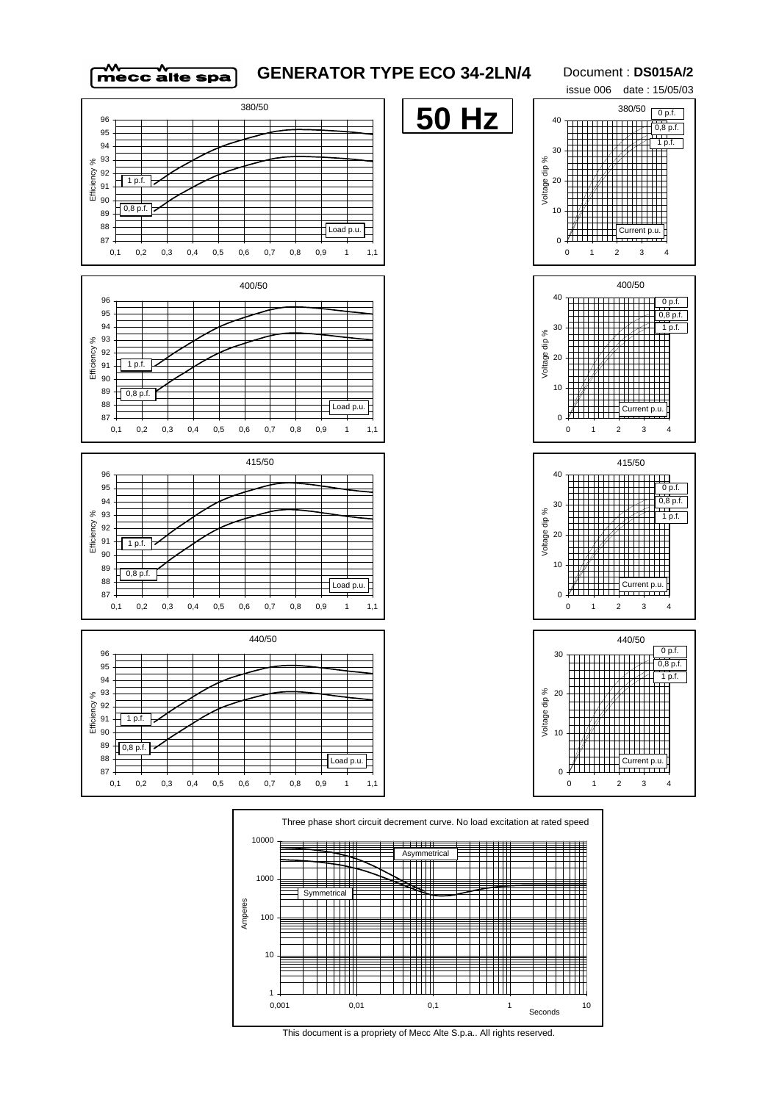



This document is a propriety of Mecc Alte S.p.a.. All rights reserved.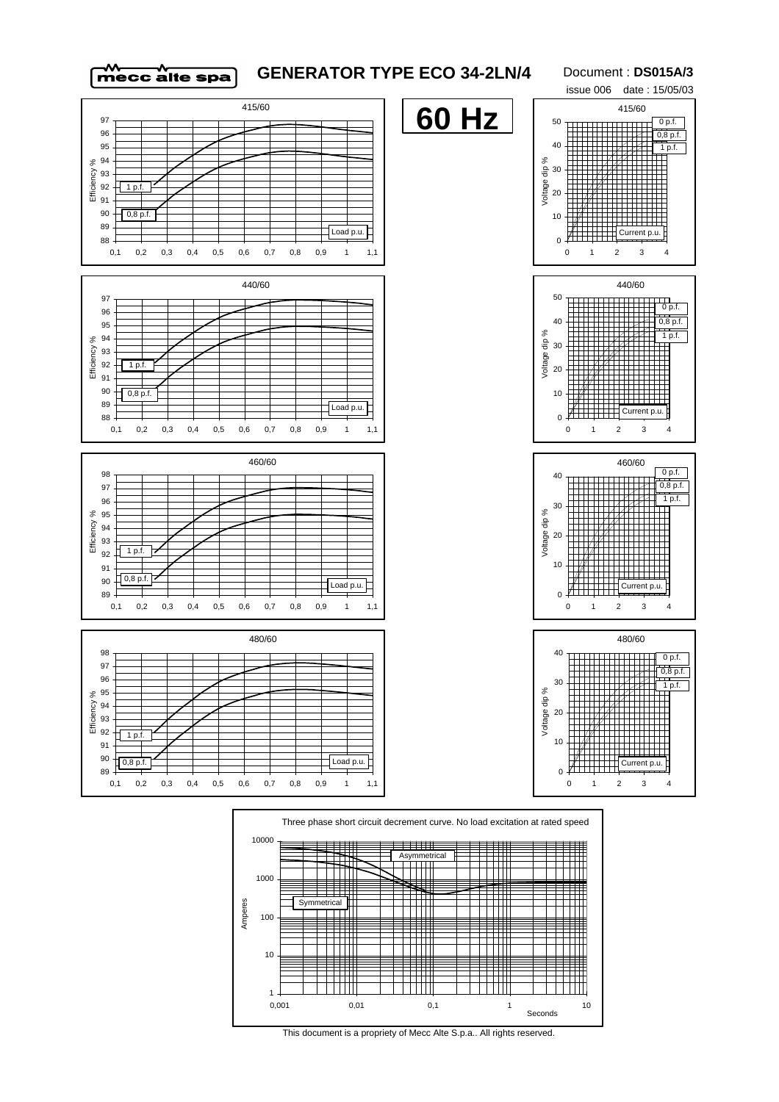



This document is a propriety of Mecc Alte S.p.a.. All rights reserved.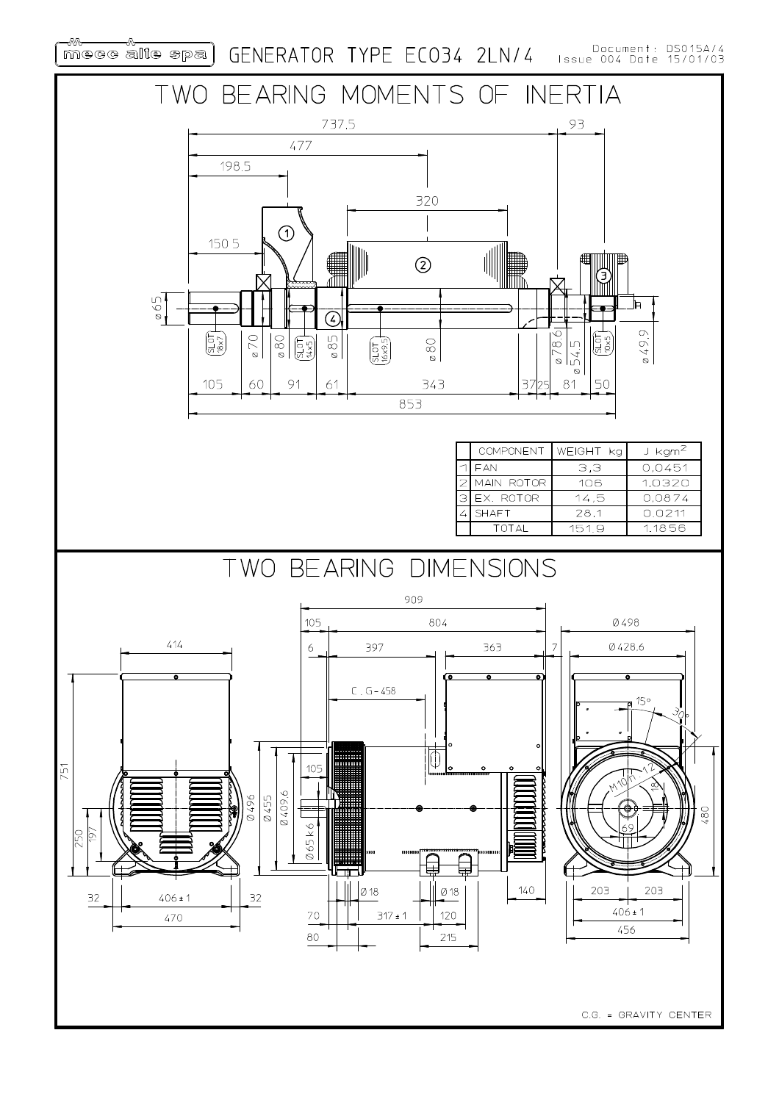